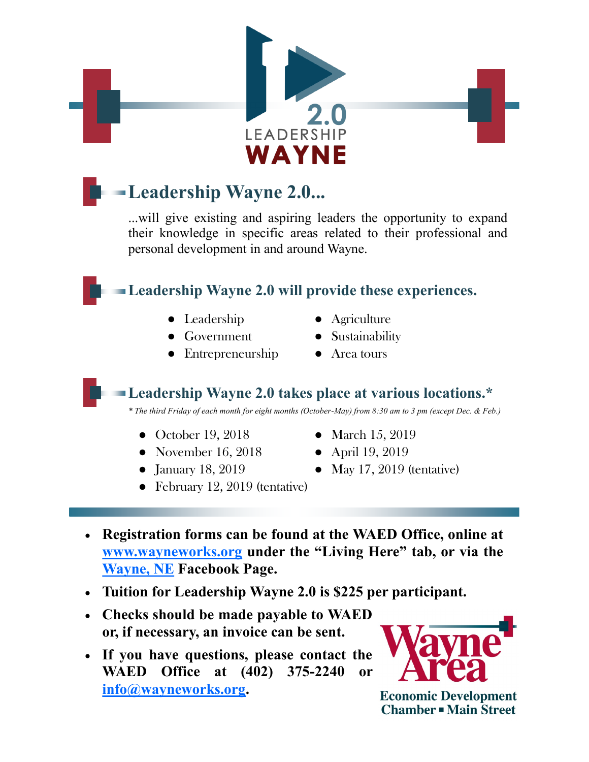

## **Leadership Wayne 2.0...**

...will give existing and aspiring leaders the opportunity to expand their knowledge in specific areas related to their professional and personal development in and around Wayne.

## **Leadership Wayne 2.0 will provide these experiences.**

- -
- Entrepreneurship Area tours
- Leadership Agriculture
- Government Sustainability
	-

**Leadership Wayne 2.0 takes place at various locations.\***

*\* The third Friday of each month for eight months (October-May) from 8:30 am to 3 pm (except Dec. & Feb.)*

- October 19, 2018 March 15, 2019
- November 16, 2018 April 19, 2019
- 
- 
- January 18, 2019 May 17, 2019 (tentative)
- February 12, 2019 (tentative)
- **Registration forms can be found at the WAED Office, online at [www.wayneworks.org](http://www.wayneworks.org/index.aspx?nid=123) under the "Living Here" tab, or via the [Wayne, NE](https://www.facebook.com/WayneNE68787/) Facebook Page.**
- **Tuition for Leadership Wayne 2.0 is \$225 per participant.**
- **Checks should be made payable to WAED or, if necessary, an invoice can be sent.**
- **If you have questions, please contact the WAED Office at (402) 375-2240 or [info@wayneworks.org.](mailto:info@wayneworks.org)**



**Economic Development Chamber - Main Street**